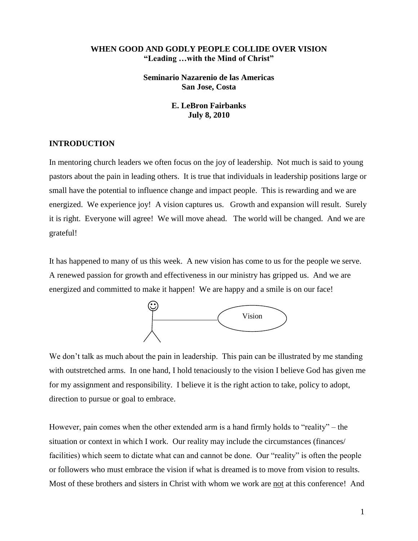### **WHEN GOOD AND GODLY PEOPLE COLLIDE OVER VISION "Leading …with the Mind of Christ"**

**Seminario Nazarenio de las Americas San Jose, Costa**

> **E. LeBron Fairbanks July 8, 2010**

#### **INTRODUCTION**

In mentoring church leaders we often focus on the joy of leadership. Not much is said to young pastors about the pain in leading others. It is true that individuals in leadership positions large or small have the potential to influence change and impact people. This is rewarding and we are energized. We experience joy! A vision captures us. Growth and expansion will result. Surely it is right. Everyone will agree! We will move ahead. The world will be changed. And we are grateful!

It has happened to many of us this week. A new vision has come to us for the people we serve. A renewed passion for growth and effectiveness in our ministry has gripped us. And we are energized and committed to make it happen! We are happy and a smile is on our face!



We don't talk as much about the pain in leadership. This pain can be illustrated by me standing with outstretched arms. In one hand, I hold tenaciously to the vision I believe God has given me for my assignment and responsibility. I believe it is the right action to take, policy to adopt, direction to pursue or goal to embrace.

However, pain comes when the other extended arm is a hand firmly holds to "reality" – the situation or context in which I work. Our reality may include the circumstances (finances/ facilities) which seem to dictate what can and cannot be done. Our "reality" is often the people or followers who must embrace the vision if what is dreamed is to move from vision to results. Most of these brothers and sisters in Christ with whom we work are not at this conference! And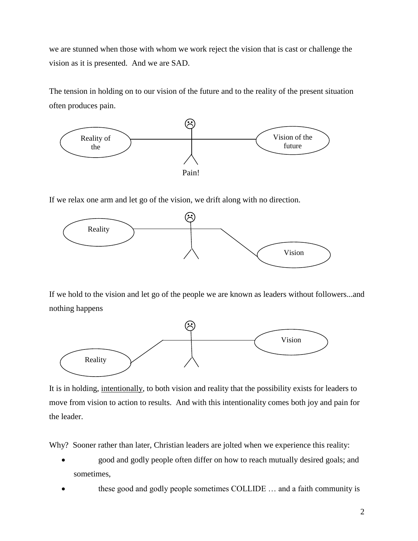we are stunned when those with whom we work reject the vision that is cast or challenge the vision as it is presented. And we are SAD.

The tension in holding on to our vision of the future and to the reality of the present situation often produces pain.



If we relax one arm and let go of the vision, we drift along with no direction.



If we hold to the vision and let go of the people we are known as leaders without followers...and nothing happens



It is in holding, intentionally, to both vision and reality that the possibility exists for leaders to move from vision to action to results. And with this intentionality comes both joy and pain for the leader.

Why? Sooner rather than later, Christian leaders are jolted when we experience this reality:

- good and godly people often differ on how to reach mutually desired goals; and sometimes,
- these good and godly people sometimes COLLIDE … and a faith community is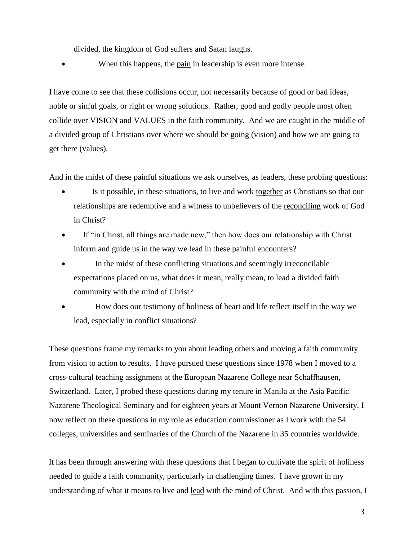divided, the kingdom of God suffers and Satan laughs.

• When this happens, the <u>pain</u> in leadership is even more intense.

I have come to see that these collisions occur, not necessarily because of good or bad ideas, noble or sinful goals, or right or wrong solutions. Rather, good and godly people most often collide over VISION and VALUES in the faith community. And we are caught in the middle of a divided group of Christians over where we should be going (vision) and how we are going to get there (values).

And in the midst of these painful situations we ask ourselves, as leaders, these probing questions:

- Is it possible, in these situations, to live and work together as Christians so that our relationships are redemptive and a witness to unbelievers of the reconciling work of God in Christ?
- If "in Christ, all things are made new," then how does our relationship with Christ inform and guide us in the way we lead in these painful encounters?
- In the midst of these conflicting situations and seemingly irreconcilable expectations placed on us, what does it mean, really mean, to lead a divided faith community with the mind of Christ?
- How does our testimony of holiness of heart and life reflect itself in the way we lead, especially in conflict situations?

These questions frame my remarks to you about leading others and moving a faith community from vision to action to results. I have pursued these questions since 1978 when I moved to a cross-cultural teaching assignment at the European Nazarene College near Schaffhausen, Switzerland. Later, I probed these questions during my tenure in Manila at the Asia Pacific Nazarene Theological Seminary and for eighteen years at Mount Vernon Nazarene University. I now reflect on these questions in my role as education commissioner as I work with the 54 colleges, universities and seminaries of the Church of the Nazarene in 35 countries worldwide.

It has been through answering with these questions that I began to cultivate the spirit of holiness needed to guide a faith community, particularly in challenging times. I have grown in my understanding of what it means to live and lead with the mind of Christ. And with this passion, I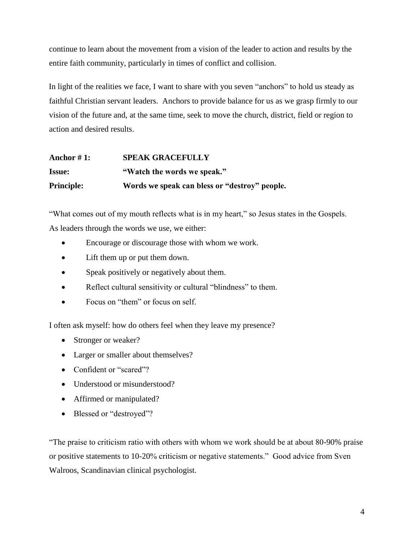continue to learn about the movement from a vision of the leader to action and results by the entire faith community, particularly in times of conflict and collision.

In light of the realities we face, I want to share with you seven "anchors" to hold us steady as faithful Christian servant leaders. Anchors to provide balance for us as we grasp firmly to our vision of the future and, at the same time, seek to move the church, district, field or region to action and desired results.

# **Anchor # 1: SPEAK GRACEFULLY Issue: "Watch the words we speak." Principle: Words we speak can bless or "destroy" people.**

"What comes out of my mouth reflects what is in my heart," so Jesus states in the Gospels. As leaders through the words we use, we either:

- Encourage or discourage those with whom we work.
- Lift them up or put them down.
- Speak positively or negatively about them.
- Reflect cultural sensitivity or cultural "blindness" to them.
- $\bullet$  Focus on "them" or focus on self.

I often ask myself: how do others feel when they leave my presence?

- Stronger or weaker?
- Larger or smaller about themselves?
- Confident or "scared"?
- Understood or misunderstood?
- Affirmed or manipulated?
- Blessed or "destroyed"?

―The praise to criticism ratio with others with whom we work should be at about 80-90% praise or positive statements to 10-20% criticism or negative statements." Good advice from Sven Walroos, Scandinavian clinical psychologist.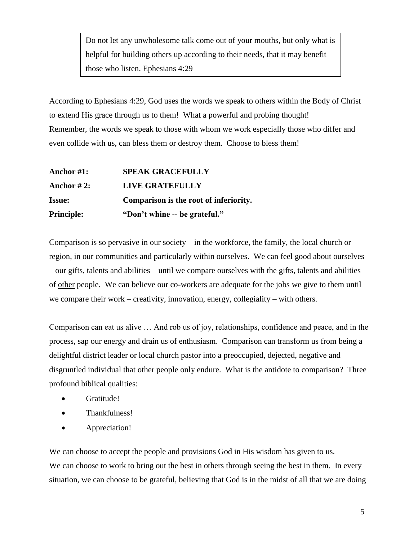Do not let any unwholesome talk come out of your mouths, but only what is helpful for building others up according to their needs, that it may benefit those who listen. Ephesians 4:29

According to Ephesians 4:29, God uses the words we speak to others within the Body of Christ to extend His grace through us to them! What a powerful and probing thought! Remember, the words we speak to those with whom we work especially those who differ and even collide with us, can bless them or destroy them. Choose to bless them!

| <b>Principle:</b> | "Don't whine -- be grateful."          |
|-------------------|----------------------------------------|
| <b>Issue:</b>     | Comparison is the root of inferiority. |
| Anchor $#2$ :     | LIVE GRATEFULLY                        |
| Anchor #1:        | <b>SPEAK GRACEFULLY</b>                |

Comparison is so pervasive in our society – in the workforce, the family, the local church or region, in our communities and particularly within ourselves. We can feel good about ourselves – our gifts, talents and abilities – until we compare ourselves with the gifts, talents and abilities of other people. We can believe our co-workers are adequate for the jobs we give to them until we compare their work – creativity, innovation, energy, collegiality – with others.

Comparison can eat us alive … And rob us of joy, relationships, confidence and peace, and in the process, sap our energy and drain us of enthusiasm. Comparison can transform us from being a delightful district leader or local church pastor into a preoccupied, dejected, negative and disgruntled individual that other people only endure. What is the antidote to comparison? Three profound biblical qualities:

- Gratitude!
- Thankfulness!
- Appreciation!

We can choose to accept the people and provisions God in His wisdom has given to us. We can choose to work to bring out the best in others through seeing the best in them. In every situation, we can choose to be grateful, believing that God is in the midst of all that we are doing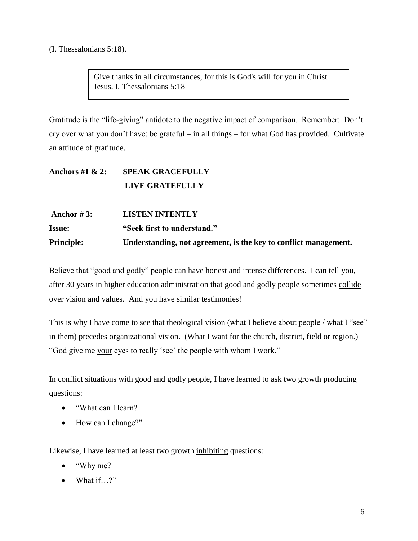(I. Thessalonians 5:18).

Give thanks in all circumstances, for this is God's will for you in Christ Jesus. I. Thessalonians 5:18

Gratitude is the "life-giving" antidote to the negative impact of comparison. Remember: Don't cry over what you don't have; be grateful – in all things – for what God has provided. Cultivate an attitude of gratitude.

## **Anchors #1 & 2: SPEAK GRACEFULLY LIVE GRATEFULLY**

| Anchor # 3:       | <b>LISTEN INTENTLY</b>                                           |
|-------------------|------------------------------------------------------------------|
| <b>Issue:</b>     | "Seek first to understand."                                      |
| <b>Principle:</b> | Understanding, not agreement, is the key to conflict management. |

Believe that "good and godly" people can have honest and intense differences. I can tell you, after 30 years in higher education administration that good and godly people sometimes collide over vision and values. And you have similar testimonies!

This is why I have come to see that theological vision (what I believe about people / what I "see" in them) precedes organizational vision. (What I want for the church, district, field or region.) "God give me your eyes to really 'see' the people with whom I work."

In conflict situations with good and godly people, I have learned to ask two growth producing questions:

- "What can I learn?
- How can I change?"

Likewise, I have learned at least two growth inhibiting questions:

- ―Why me?
- $\bullet$  What if…?"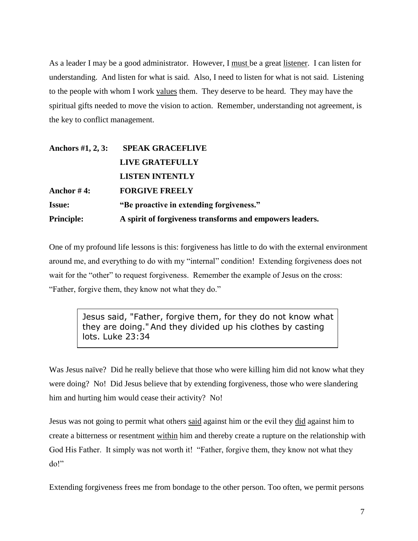As a leader I may be a good administrator. However, I must be a great listener. I can listen for understanding. And listen for what is said. Also, I need to listen for what is not said. Listening to the people with whom I work values them. They deserve to be heard. They may have the spiritual gifts needed to move the vision to action. Remember, understanding not agreement, is the key to conflict management.

| Anchors #1, 2, 3: | <b>SPEAK GRACEFLIVE</b>                                  |
|-------------------|----------------------------------------------------------|
|                   | <b>LIVE GRATEFULLY</b>                                   |
|                   | <b>LISTEN INTENTLY</b>                                   |
| Anchor #4:        | <b>FORGIVE FREELY</b>                                    |
| <b>Issue:</b>     | "Be proactive in extending forgiveness."                 |
| <b>Principle:</b> | A spirit of forgiveness transforms and empowers leaders. |

One of my profound life lessons is this: forgiveness has little to do with the external environment around me, and everything to do with my "internal" condition! Extending forgiveness does not wait for the "other" to request forgiveness. Remember the example of Jesus on the cross: "Father, forgive them, they know not what they do."

> Jesus said, "Father, forgive them, for they do not know what they are doing." And they divided up his clothes by casting lots. Luke 23:34

Was Jesus naïve? Did he really believe that those who were killing him did not know what they were doing? No! Did Jesus believe that by extending forgiveness, those who were slandering him and hurting him would cease their activity? No!

Jesus was not going to permit what others said against him or the evil they did against him to create a bitterness or resentment within him and thereby create a rupture on the relationship with God His Father. It simply was not worth it! "Father, forgive them, they know not what they do!"

Extending forgiveness frees me from bondage to the other person. Too often, we permit persons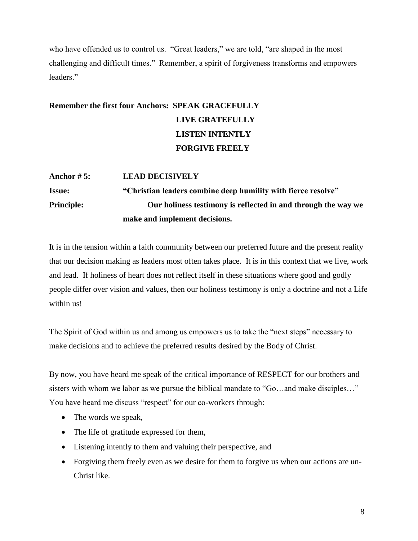who have offended us to control us. "Great leaders," we are told, "are shaped in the most challenging and difficult times." Remember, a spirit of forgiveness transforms and empowers leaders."

## **Remember the first four Anchors: SPEAK GRACEFULLY LIVE GRATEFULLY LISTEN INTENTLY FORGIVE FREELY**

## **Anchor # 5: LEAD DECISIVELY Issue: "Christian leaders combine deep humility with fierce resolve" Principle: Our holiness testimony is reflected in and through the way we make and implement decisions.**

It is in the tension within a faith community between our preferred future and the present reality that our decision making as leaders most often takes place. It is in this context that we live, work and lead. If holiness of heart does not reflect itself in these situations where good and godly people differ over vision and values, then our holiness testimony is only a doctrine and not a Life within us!

The Spirit of God within us and among us empowers us to take the "next steps" necessary to make decisions and to achieve the preferred results desired by the Body of Christ.

By now, you have heard me speak of the critical importance of RESPECT for our brothers and sisters with whom we labor as we pursue the biblical mandate to "Go...and make disciples..." You have heard me discuss "respect" for our co-workers through:

- The words we speak,
- The life of gratitude expressed for them,
- Listening intently to them and valuing their perspective, and
- Forgiving them freely even as we desire for them to forgive us when our actions are un-Christ like.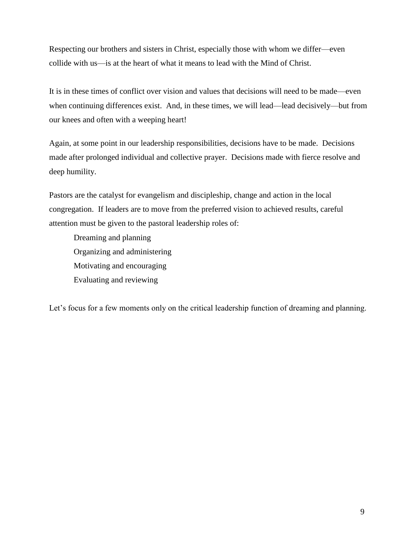Respecting our brothers and sisters in Christ, especially those with whom we differ—even collide with us—is at the heart of what it means to lead with the Mind of Christ.

It is in these times of conflict over vision and values that decisions will need to be made—even when continuing differences exist. And, in these times, we will lead—lead decisively—but from our knees and often with a weeping heart!

Again, at some point in our leadership responsibilities, decisions have to be made. Decisions made after prolonged individual and collective prayer. Decisions made with fierce resolve and deep humility.

Pastors are the catalyst for evangelism and discipleship, change and action in the local congregation. If leaders are to move from the preferred vision to achieved results, careful attention must be given to the pastoral leadership roles of:

Dreaming and planning Organizing and administering Motivating and encouraging Evaluating and reviewing

Let's focus for a few moments only on the critical leadership function of dreaming and planning.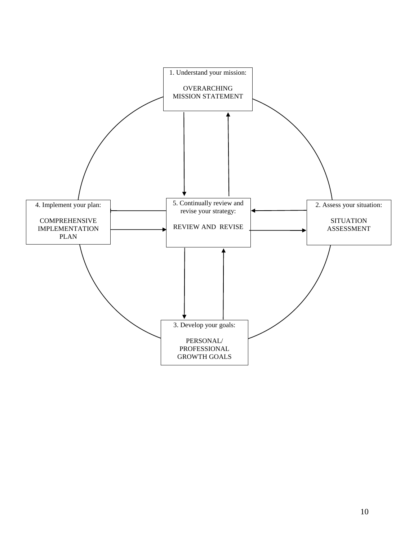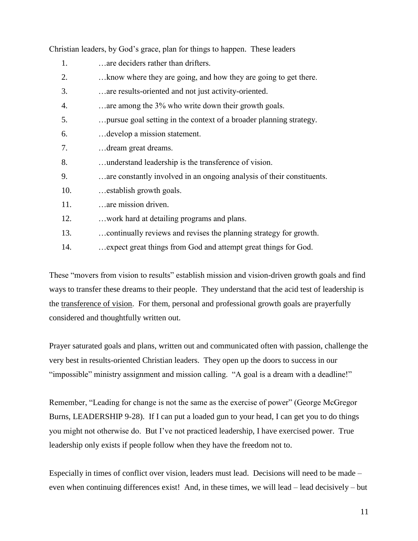| 1.  | are deciders rather than drifters.                                    |
|-----|-----------------------------------------------------------------------|
| 2.  | know where they are going, and how they are going to get there.       |
| 3.  | are results-oriented and not just activity-oriented.                  |
| 4.  | are among the 3% who write down their growth goals.                   |
| 5.  | pursue goal setting in the context of a broader planning strategy.    |
| 6.  | develop a mission statement.                                          |
| 7.  | dream great dreams.                                                   |
| 8.  | understand leadership is the transference of vision.                  |
| 9.  | are constantly involved in an ongoing analysis of their constituents. |
| 10. | establish growth goals.                                               |
| 11. | are mission driven.                                                   |
| 12. | work hard at detailing programs and plans.                            |
| 13. | continually reviews and revises the planning strategy for growth.     |
| 14. | expect great things from God and attempt great things for God.        |

Christian leaders, by God's grace, plan for things to happen. These leaders

These "movers from vision to results" establish mission and vision-driven growth goals and find ways to transfer these dreams to their people. They understand that the acid test of leadership is the transference of vision. For them, personal and professional growth goals are prayerfully considered and thoughtfully written out.

Prayer saturated goals and plans, written out and communicated often with passion, challenge the very best in results-oriented Christian leaders. They open up the doors to success in our "impossible" ministry assignment and mission calling. "A goal is a dream with a deadline!"

Remember, "Leading for change is not the same as the exercise of power" (George McGregor Burns, LEADERSHIP 9-28). If I can put a loaded gun to your head, I can get you to do things you might not otherwise do. But I've not practiced leadership, I have exercised power. True leadership only exists if people follow when they have the freedom not to.

Especially in times of conflict over vision, leaders must lead. Decisions will need to be made – even when continuing differences exist! And, in these times, we will lead – lead decisively – but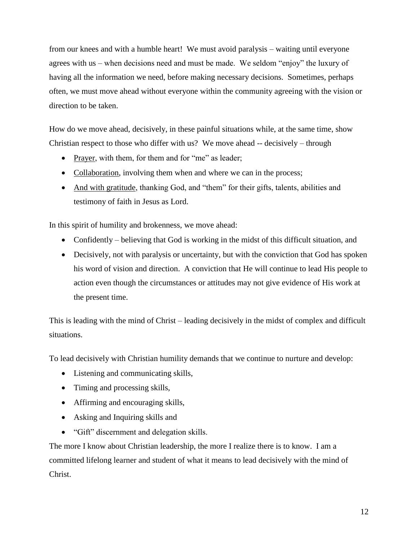from our knees and with a humble heart! We must avoid paralysis – waiting until everyone agrees with us – when decisions need and must be made. We seldom "enjoy" the luxury of having all the information we need, before making necessary decisions. Sometimes, perhaps often, we must move ahead without everyone within the community agreeing with the vision or direction to be taken.

How do we move ahead, decisively, in these painful situations while, at the same time, show Christian respect to those who differ with us? We move ahead -- decisively – through

- Prayer, with them, for them and for "me" as leader;
- Collaboration, involving them when and where we can in the process;
- And with gratitude, thanking God, and "them" for their gifts, talents, abilities and testimony of faith in Jesus as Lord.

In this spirit of humility and brokenness, we move ahead:

- Confidently believing that God is working in the midst of this difficult situation, and
- Decisively, not with paralysis or uncertainty, but with the conviction that God has spoken his word of vision and direction. A conviction that He will continue to lead His people to action even though the circumstances or attitudes may not give evidence of His work at the present time.

This is leading with the mind of Christ – leading decisively in the midst of complex and difficult situations.

To lead decisively with Christian humility demands that we continue to nurture and develop:

- Listening and communicating skills,
- Timing and processing skills,
- Affirming and encouraging skills,
- Asking and Inquiring skills and
- "Gift" discernment and delegation skills.

The more I know about Christian leadership, the more I realize there is to know. I am a committed lifelong learner and student of what it means to lead decisively with the mind of Christ.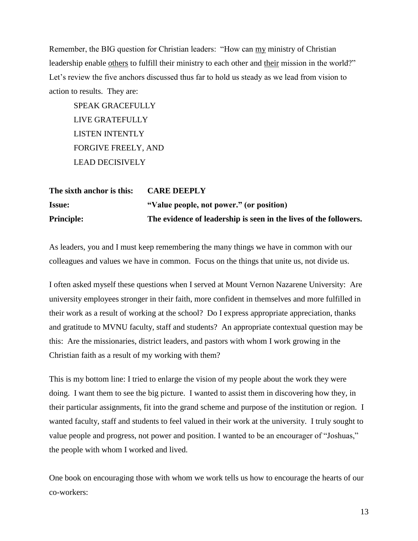Remember, the BIG question for Christian leaders: "How can my ministry of Christian leadership enable others to fulfill their ministry to each other and their mission in the world?" Let's review the five anchors discussed thus far to hold us steady as we lead from vision to action to results. They are:

SPEAK GRACEFULLY LIVE GRATEFULLY LISTEN INTENTLY FORGIVE FREELY, AND LEAD DECISIVELY

| The sixth anchor is this: | <b>CARE DEEPLY</b>                                                |
|---------------------------|-------------------------------------------------------------------|
| <b>Issue:</b>             | "Value people, not power." (or position)                          |
| <b>Principle:</b>         | The evidence of leadership is seen in the lives of the followers. |

As leaders, you and I must keep remembering the many things we have in common with our colleagues and values we have in common. Focus on the things that unite us, not divide us.

I often asked myself these questions when I served at Mount Vernon Nazarene University: Are university employees stronger in their faith, more confident in themselves and more fulfilled in their work as a result of working at the school? Do I express appropriate appreciation, thanks and gratitude to MVNU faculty, staff and students? An appropriate contextual question may be this: Are the missionaries, district leaders, and pastors with whom I work growing in the Christian faith as a result of my working with them?

This is my bottom line: I tried to enlarge the vision of my people about the work they were doing. I want them to see the big picture. I wanted to assist them in discovering how they, in their particular assignments, fit into the grand scheme and purpose of the institution or region. I wanted faculty, staff and students to feel valued in their work at the university. I truly sought to value people and progress, not power and position. I wanted to be an encourager of "Joshuas," the people with whom I worked and lived.

One book on encouraging those with whom we work tells us how to encourage the hearts of our co-workers: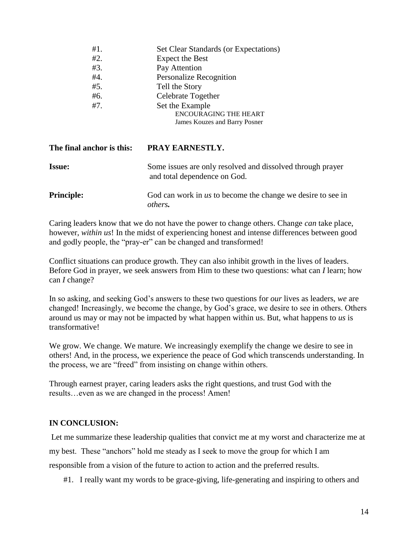| #1. | Set Clear Standards (or Expectations) |
|-----|---------------------------------------|
| #2. | <b>Expect the Best</b>                |
| #3. | Pay Attention                         |
| #4. | <b>Personalize Recognition</b>        |
| #5. | Tell the Story                        |
| #6. | Celebrate Together                    |
| #7. | Set the Example                       |
|     | <b>ENCOURAGING THE HEART</b>          |
|     | James Kouzes and Barry Posner         |

| The final anchor is this: | PRAY EARNESTLY.                                                                            |
|---------------------------|--------------------------------------------------------------------------------------------|
| <b>Issue:</b>             | Some issues are only resolved and dissolved through prayer<br>and total dependence on God. |
| <b>Principle:</b>         | God can work in us to become the change we desire to see in<br>others.                     |

Caring leaders know that we do not have the power to change others. Change *can* take place, however, *within us*! In the midst of experiencing honest and intense differences between good and godly people, the "pray-er" can be changed and transformed!

Conflict situations can produce growth. They can also inhibit growth in the lives of leaders. Before God in prayer, we seek answers from Him to these two questions: what can *I* learn; how can *I* change?

In so asking, and seeking God's answers to these two questions for *our* lives as leaders, *we* are changed! Increasingly, we become the change, by God's grace, we desire to see in others. Others around us may or may not be impacted by what happen within us. But, what happens to *us* is transformative!

We grow. We change. We mature. We increasingly exemplify the change we desire to see in others! And, in the process, we experience the peace of God which transcends understanding. In the process, we are "freed" from insisting on change within others.

Through earnest prayer, caring leaders asks the right questions, and trust God with the results…even as we are changed in the process! Amen!

### **IN CONCLUSION:**

Let me summarize these leadership qualities that convict me at my worst and characterize me at my best. These "anchors" hold me steady as I seek to move the group for which I am responsible from a vision of the future to action to action and the preferred results.

#1. I really want my words to be grace-giving, life-generating and inspiring to others and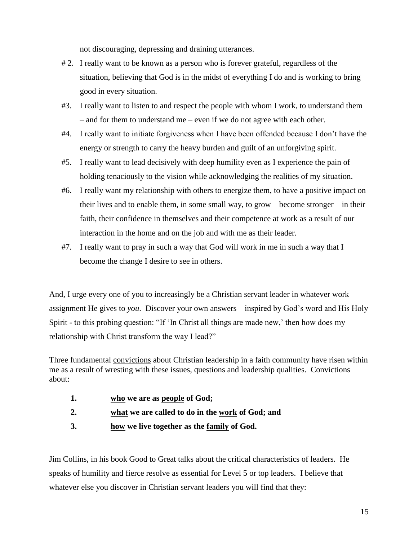not discouraging, depressing and draining utterances.

- # 2. I really want to be known as a person who is forever grateful, regardless of the situation, believing that God is in the midst of everything I do and is working to bring good in every situation.
- #3. I really want to listen to and respect the people with whom I work, to understand them – and for them to understand me – even if we do not agree with each other.
- #4. I really want to initiate forgiveness when I have been offended because I don't have the energy or strength to carry the heavy burden and guilt of an unforgiving spirit.
- #5. I really want to lead decisively with deep humility even as I experience the pain of holding tenaciously to the vision while acknowledging the realities of my situation.
- #6. I really want my relationship with others to energize them, to have a positive impact on their lives and to enable them, in some small way, to grow – become stronger – in their faith, their confidence in themselves and their competence at work as a result of our interaction in the home and on the job and with me as their leader.
- #7. I really want to pray in such a way that God will work in me in such a way that I become the change I desire to see in others.

And, I urge every one of you to increasingly be a Christian servant leader in whatever work assignment He gives to *you*. Discover your own answers – inspired by God's word and His Holy Spirit - to this probing question: "If 'In Christ all things are made new,' then how does my relationship with Christ transform the way I lead?"

Three fundamental convictions about Christian leadership in a faith community have risen within me as a result of wresting with these issues, questions and leadership qualities. Convictions about:

- **1. who we are as people of God;**
- **2. what we are called to do in the work of God; and**
- **3. how we live together as the family of God.**

Jim Collins, in his book Good to Great talks about the critical characteristics of leaders. He speaks of humility and fierce resolve as essential for Level 5 or top leaders. I believe that whatever else you discover in Christian servant leaders you will find that they: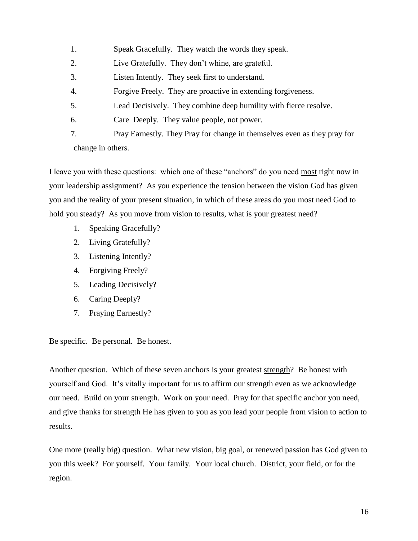- 1. Speak Gracefully. They watch the words they speak.
- 2. Live Gratefully. They don't whine, are grateful.
- 3. Listen Intently. They seek first to understand.
- 4. Forgive Freely. They are proactive in extending forgiveness.
- 5. Lead Decisively. They combine deep humility with fierce resolve.
- 6. Care Deeply. They value people, not power.

7. Pray Earnestly. They Pray for change in themselves even as they pray for change in others.

I leave you with these questions: which one of these "anchors" do you need most right now in your leadership assignment? As you experience the tension between the vision God has given you and the reality of your present situation, in which of these areas do you most need God to hold you steady? As you move from vision to results, what is your greatest need?

- 1. Speaking Gracefully?
- 2. Living Gratefully?
- 3. Listening Intently?
- 4. Forgiving Freely?
- 5. Leading Decisively?
- 6. Caring Deeply?
- 7. Praying Earnestly?

Be specific. Be personal. Be honest.

Another question. Which of these seven anchors is your greatest strength? Be honest with yourself and God. It's vitally important for us to affirm our strength even as we acknowledge our need. Build on your strength. Work on your need. Pray for that specific anchor you need, and give thanks for strength He has given to you as you lead your people from vision to action to results.

One more (really big) question. What new vision, big goal, or renewed passion has God given to you this week? For yourself. Your family. Your local church. District, your field, or for the region.